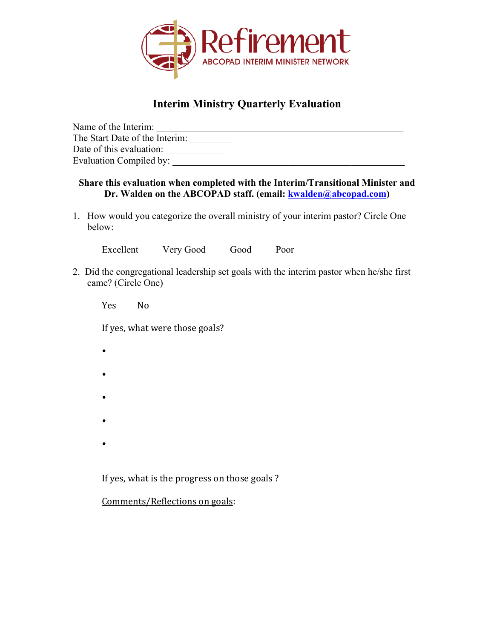

## **Interim Ministry Quarterly Evaluation**

| Name of the Interim:           |  |
|--------------------------------|--|
| The Start Date of the Interim: |  |
| Date of this evaluation:       |  |
| Evaluation Compiled by:        |  |

## **Share this evaluation when completed with the Interim/Transitional Minister and Dr. Walden on the ABCOPAD staff. (email: kwalden@abcopad.com)**

1. How would you categorize the overall ministry of your interim pastor? Circle One below:

Excellent Very Good Good Poor

2. Did the congregational leadership set goals with the interim pastor when he/she first came? (Circle One)

Yes No

•

If yes, what were those goals?

- • • •
- If yes, what is the progress on those goals ?

Comments/Reflections on goals: